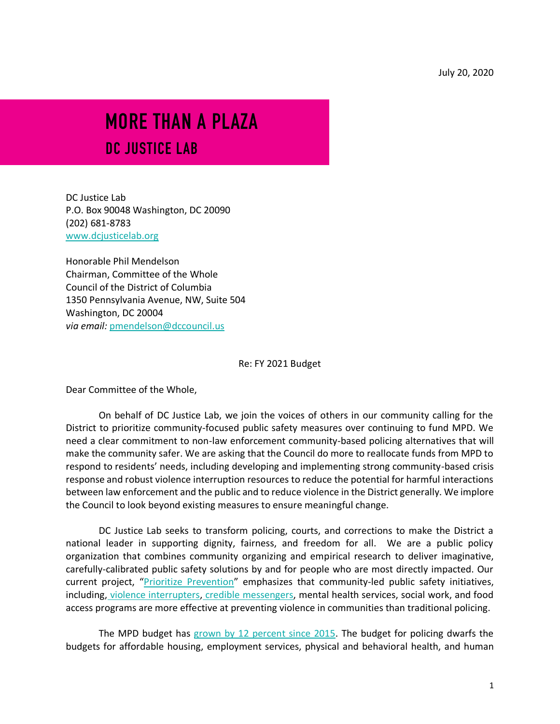# MORE THAN A PLAZA

# DC JUSTICE LAB

DC Justice Lab P.O. Box 90048 Washington, DC 20090 (202) 681-8783 [www.dcjusticelab.org](http://www.dcjusticelab.org/)

Honorable Phil Mendelson Chairman, Committee of the Whole Council of the District of Columbia 1350 Pennsylvania Avenue, NW, Suite 504 Washington, DC 20004 *via email:* [pmendelson@dccouncil.us](mailto:pmendelson@dccouncil.us)

Re: FY 2021 Budget

Dear Committee of the Whole,

On behalf of DC Justice Lab, we join the voices of others in our community calling for the District to prioritize community-focused public safety measures over continuing to fund MPD. We need a clear commitment to non-law enforcement community-based policing alternatives that will make the community safer. We are asking that the Council do more to reallocate funds from MPD to respond to residents' needs, including developing and implementing strong community-based crisis response and robust violence interruption resources to reduce the potential for harmful interactions between law enforcement and the public and to reduce violence in the District generally. We implore the Council to look beyond existing measures to ensure meaningful change.

DC Justice Lab seeks to transform policing, courts, and corrections to make the District a national leader in supporting dignity, fairness, and freedom for all. We are a public policy organization that combines community organizing and empirical research to deliver imaginative, carefully-calibrated public safety solutions by and for people who are most directly impacted. Our current project, "[Prioritize Prevention](https://dcjusticelab.org/prioritize-prevention)" emphasizes that community-led public safety initiatives, including, [violence interrupters](https://oag.dc.gov/public-safety/cure-streets-oags-violence-interruption-program)[,](https://www.youtube.com/watch?feature=emb_logo&v=zbw18-qdJho) [credible messengers,](https://www.youtube.com/watch?feature=emb_logo&v=zbw18-qdJho) mental health services, social work, and food access programs are more effective at preventing violence in communities than traditional policing.

The MPD budget has [grown by 12 percent since 2015.](https://www.dcfpi.org/wp-content/uploads/2020/06/6.15.20-MPD-Budget-Hearing-DCFPI.pdf) The budget for policing dwarfs the budgets for affordable housing, employment services, physical and behavioral health, and human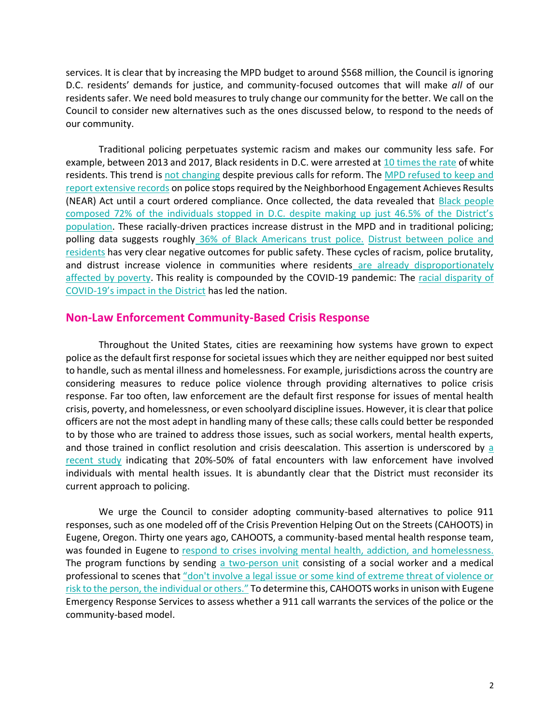services. It is clear that by increasing the MPD budget to around \$568 million, the Council is ignoring D.C. residents' demands for justice, and community-focused outcomes that will make *all* of our residents safer. We need bold measures to truly change our community for the better. We call on the Council to consider new alternatives such as the ones discussed below, to respond to the needs of our community.

Traditional policing perpetuates systemic racism and makes our community less safe. For example, between 2013 and 2017, Black residents in D.C. were arrested at [10 times the rate](https://www.acludc.org/en/racial-disparities-dc-policing-descriptive-evidence-2013-2017) of white residents. This trend is [not changing](https://www.acludc.org/sites/default/files/2020_06_15_aclu_stops_report_final.pdf) despite previous calls for reform. The [MPD refused to keep and](https://www.acludc.org/sites/default/files/2020_06_15_aclu_stops_report_final.pdf)  [report extensive records](https://www.acludc.org/sites/default/files/2020_06_15_aclu_stops_report_final.pdf) on police stops required by the Neighborhood Engagement Achieves Results (NEAR) Act until a court ordered compliance. Once collected, the data revealed that [Black people](https://www.census.gov/quickfacts/DC)  [composed 72% of the individuals stopped in D.C. despite making up just 46.5% of the District's](https://www.census.gov/quickfacts/DC)  [population.](https://www.census.gov/quickfacts/DC) These racially-driven practices increase distrust in the MPD and in traditional policing; polling data suggests roughly [36% of Black Americans trust police.](https://www.cnn.com/2020/06/02/politics/polls-police-black-protests/index.html) [Distrust between police and](https://www.theguardian.com/us-news/2020/jan/21/police-gun-violence-trust-report)  [residents](https://www.theguardian.com/us-news/2020/jan/21/police-gun-violence-trust-report) has very clear negative outcomes for public safety. These cycles of racism, police brutality, and distrust increase violence in communities where residents are already disproportionately [affected by poverty.](https://www.acludc.org/en/racial-disparities-dc-policing-descriptive-evidence-2013-2017) This reality is compounded by the COVID-19 pandemic: The [racial disparity of](https://wjla.com/news/local/dc-leads-the-nation-in-covid-19-black-death-disparity)  COVID-19's im[pact in the District](https://wjla.com/news/local/dc-leads-the-nation-in-covid-19-black-death-disparity) has led the nation.

#### **Non-Law Enforcement Community-Based Crisis Response**

Throughout the United States, cities are reexamining how systems have grown to expect police as the default first response for societal issues which they are neither equipped nor best suited to handle, such as mental illness and homelessness. For example, jurisdictions across the country are considering measures to reduce police violence through providing alternatives to police crisis response. Far too often, law enforcement are the default first response for issues of mental health crisis, poverty, and homelessness, or even schoolyard discipline issues. However, it is clear that police officers are not the most adept in handling many of these calls; these calls could better be responded to by those who are trained to address those issues, such as social workers, mental health experts, and those trained in conflict resolution and crisis deescalation. This assertion is underscored by a [recent study](https://whitebirdclinic.org/category/cahoots/) indicating that 20%-50% of fatal encounters with law enforcement have involved individuals with mental health issues. It is abundantly clear that the District must reconsider its current approach to policing.

We urge the Council to consider adopting community-based alternatives to police 911 responses, such as one modeled off of the Crisis Prevention Helping Out on the Streets (CAHOOTS) in Eugene, Oregon. Thirty one years ago, CAHOOTS, a community-based mental health response team, was founded in Eugene to [respond to crises involving mental health, addiction, and homelessness.](https://whitebirdclinic.org/category/cahoots/) The program functions by sending [a two-person unit](https://whitebirdclinic.org/category/cahoots/) consisting of a social worker and a medical professional to scenes that ["don't involve a legal issue or some kind of extreme threat of violence or](https://www.npr.org/2020/06/10/874339977/cahoots-how-social-workers-and-police-share-responsibilities-in-eugene-oregon)  [risk to the person, the individual or others."](https://www.npr.org/2020/06/10/874339977/cahoots-how-social-workers-and-police-share-responsibilities-in-eugene-oregon) To determine this, CAHOOTS works in unison with Eugene Emergency Response Services to assess whether a 911 call warrants the services of the police or the community-based model.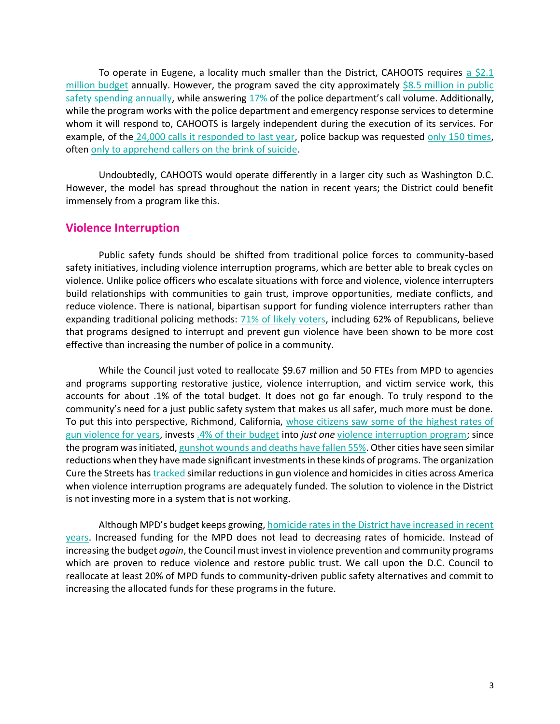To operate in Eugene, a locality much smaller than the District, CAHOOTS requires a  $$2.1$ [million budget](https://whitebirdclinic.org/category/cahoots/) annually. However, the program saved the city approximately  $$8.5$  million in public [safety spending annually,](https://whitebirdclinic.org/category/cahoots/) while answering [17%](https://whitebirdclinic.org/category/cahoots/) of the police department's call volume. Additionally, while the program works with the police department and emergency response services to determine whom it will respond to, CAHOOTS is largely independent during the execution of its services. For example, of the [24,000 calls it responded to last year,](http://www.mentalhealthportland.org/wp-content/uploads/2019/11/CAHOOTS-Program-Briefing-2018-data.pdf) police backup was requested [only 150 times,](https://whitebirdclinic.org/category/cahoots/) often [only to apprehend callers on the brink of suicide.](https://www.npr.org/2020/06/10/874339977/cahoots-how-social-workers-and-police-share-responsibilities-in-eugene-oregon)

Undoubtedly, CAHOOTS would operate differently in a larger city such as Washington D.C. However, the model has spread throughout the nation in recent years; the District could benefit immensely from a program like this.

### **Violence Interruption**

Public safety funds should be shifted from traditional police forces to community-based safety initiatives, including violence interruption programs, which are better able to break cycles on violence. Unlike police officers who escalate situations with force and violence, violence interrupters build relationships with communities to gain trust, improve opportunities, mediate conflicts, and reduce violence. There is national, bipartisan support for funding violence interrupters rather than expanding traditional policing methods: [71% of likely voters,](https://tjcinstitute.com/wp-content/uploads/2020/06/20.06_Violence-Interruption-1.pdf) including 62% of Republicans, believe that programs designed to interrupt and prevent gun violence have been shown to be more cost effective than increasing the number of police in a community.

While the Council just voted to reallocate \$9.67 million and 50 FTEs from MPD to agencies and programs supporting restorative justice, violence interruption, and victim service work, this accounts for about .1% of the total budget. It does not go far enough. To truly respond to the community's need for a just public safety system that makes us all safer, much more must be done. To put this into perspective, Richmond, California, whose citizens saw some of the highest rates of [gun violence for years,](https://www.theguardian.com/us-news/2019/dec/09/gun-violence-richmond-bay-area-healing) invests [.4% of their budget](http://www.ci.richmond.ca.us/DocumentCenter/View/51243/Adopted-FY2019-2020-Operating-Budget) into *just one* [violence interruption program;](http://ca-richmond.civicplus.com/2410/More-about-ONS-Strategic-Initiatives) since the program was initiated, [gunshot wounds and deaths have fallen 55%.](https://ajph.aphapublications.org/doi/10.2105/AJPH.2019.305288) Other cities have seen similar reductions when they have made significant investments in these kinds of programs. The organization Cure the Streets has [tracked](https://cvg.org/impact/) similar reductions in gun violence and homicides in cities across America when violence interruption programs are adequately funded. The solution to violence in the District is not investing more in a system that is not working.

Although MPD's budget keeps growing, [homicide rates in the District have increased in recent](https://wjla.com/news/local/washington-dc-2019-homicide-rate)  [years.](https://wjla.com/news/local/washington-dc-2019-homicide-rate) Increased funding for the MPD does not lead to decreasing rates of homicide. Instead of increasing the budget *again*, the Council must invest in violence prevention and community programs which are proven to reduce violence and restore public trust. We call upon the D.C. Council to reallocate at least 20% of MPD funds to community-driven public safety alternatives and commit to increasing the allocated funds for these programs in the future.